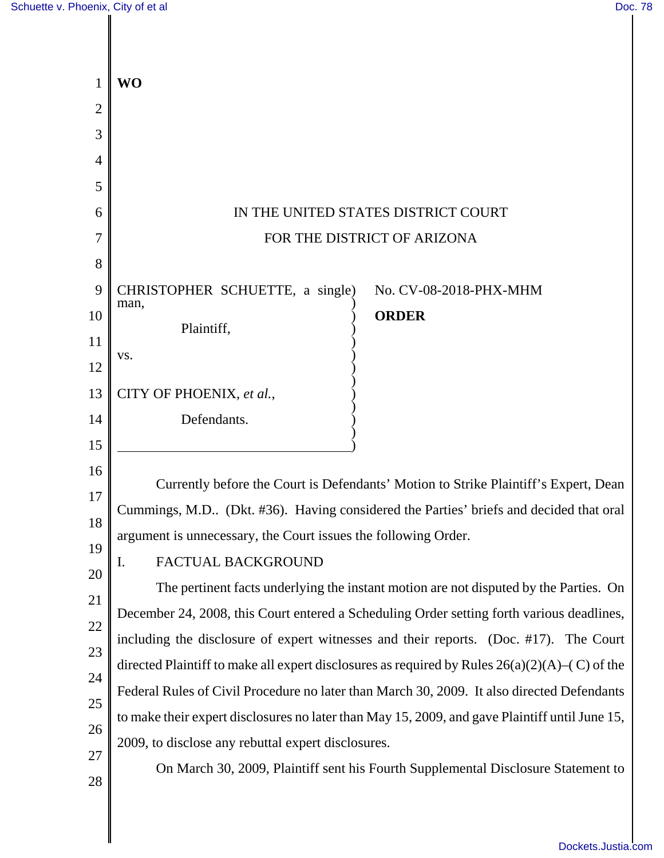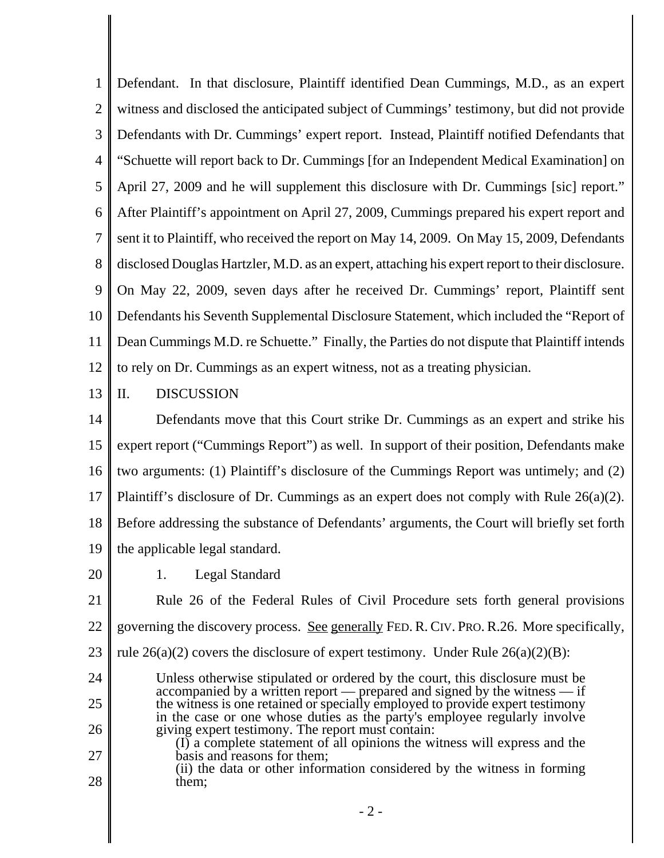1 2 3 4 5 6 7 8 9 10 11 12 Defendant. In that disclosure, Plaintiff identified Dean Cummings, M.D., as an expert witness and disclosed the anticipated subject of Cummings' testimony, but did not provide Defendants with Dr. Cummings' expert report. Instead, Plaintiff notified Defendants that "Schuette will report back to Dr. Cummings [for an Independent Medical Examination] on April 27, 2009 and he will supplement this disclosure with Dr. Cummings [sic] report." After Plaintiff's appointment on April 27, 2009, Cummings prepared his expert report and sent it to Plaintiff, who received the report on May 14, 2009. On May 15, 2009, Defendants disclosed Douglas Hartzler, M.D. as an expert, attaching his expert report to their disclosure. On May 22, 2009, seven days after he received Dr. Cummings' report, Plaintiff sent Defendants his Seventh Supplemental Disclosure Statement, which included the "Report of Dean Cummings M.D. re Schuette." Finally, the Parties do not dispute that Plaintiff intends to rely on Dr. Cummings as an expert witness, not as a treating physician.

13 II. DISCUSSION

14 15 16 17 18 19 Defendants move that this Court strike Dr. Cummings as an expert and strike his expert report ("Cummings Report") as well. In support of their position, Defendants make two arguments: (1) Plaintiff's disclosure of the Cummings Report was untimely; and (2) Plaintiff's disclosure of Dr. Cummings as an expert does not comply with Rule 26(a)(2). Before addressing the substance of Defendants' arguments, the Court will briefly set forth the applicable legal standard.

20

27

28

1. Legal Standard

21 22 23 Rule 26 of the Federal Rules of Civil Procedure sets forth general provisions governing the discovery process. See generally FED. R. CIV. PRO. R.26. More specifically, rule  $26(a)(2)$  covers the disclosure of expert testimony. Under Rule  $26(a)(2)(B)$ :

- 24 25 26 Unless otherwise stipulated or ordered by the court, this disclosure must be accompanied by a written report — prepared and signed by the witness — if the witness is one retained or specially employed to provide expert testimony in the case or one whose duties as the party's employee regularly involve giving expert testimony. The report must contain:
	- (I) a complete statement of all opinions the witness will express and the basis and reasons for them;
	- (ii) the data or other information considered by the witness in forming them;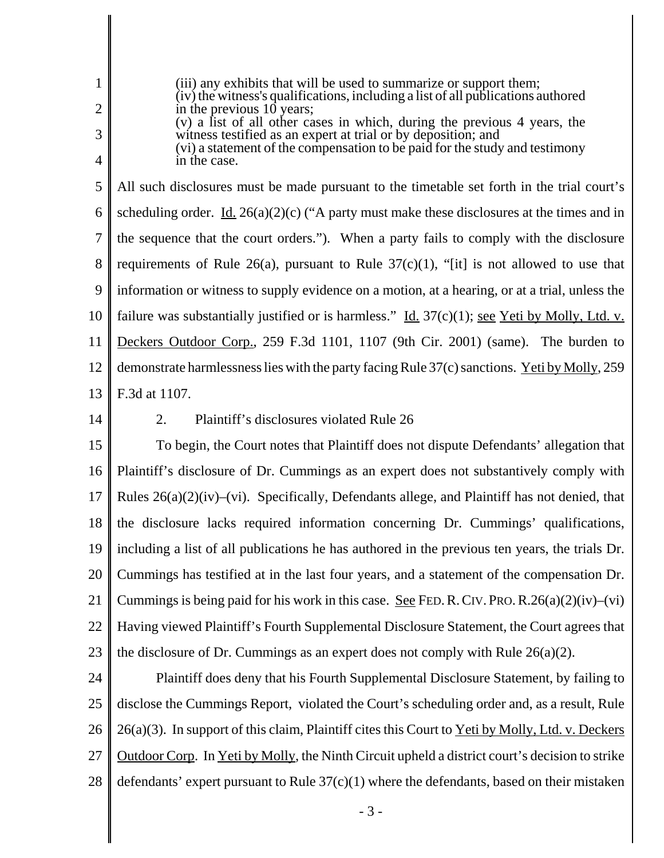|                | (iii) any exhibits that will be used to summarize or support them;<br>(iv) the witness's qualifications, including a list of all publications authored |
|----------------|--------------------------------------------------------------------------------------------------------------------------------------------------------|
| $\overline{2}$ | in the previous 10 years;                                                                                                                              |
| 3              | (v) a fist of all other cases in which, during the previous 4 years, the<br>witness testified as an expert at trial or by deposition; and              |
| $\overline{4}$ | (vi) a statement of the compensation to be paid for the study and testimony<br>in the case.                                                            |
| 5              | All such disclosures must be made pursuant to the timetable set forth in the trial court's                                                             |
| 6              | scheduling order. <u>Id.</u> 26(a)(2)(c) ("A party must make these disclosures at the times and in                                                     |
|                | the sequence that the court orders."). When a party fails to comply with the disclosure                                                                |
| 8              | requirements of Rule 26(a), pursuant to Rule $37(c)(1)$ , "[it] is not allowed to use that                                                             |
| 9              | information or witness to supply evidence on a motion, at a hearing, or at a trial, unless the                                                         |
| 10             | failure was substantially justified or is harmless." Id. $37(c)(1)$ ; see Yeti by Molly, Ltd. v.                                                       |
| 11             | Deckers Outdoor Corp., 259 F.3d 1101, 1107 (9th Cir. 2001) (same). The burden to                                                                       |
| 12             | demonstrate harmlessness lies with the party facing Rule 37(c) sanctions. Yeti by Molly, 259                                                           |
|                | 13   F.3d at 1107.                                                                                                                                     |

14

## 2. Plaintiff's disclosures violated Rule 26

15 16 17 18 19 20 21 22 23 To begin, the Court notes that Plaintiff does not dispute Defendants' allegation that Plaintiff's disclosure of Dr. Cummings as an expert does not substantively comply with Rules 26(a)(2)(iv)–(vi). Specifically, Defendants allege, and Plaintiff has not denied, that the disclosure lacks required information concerning Dr. Cummings' qualifications, including a list of all publications he has authored in the previous ten years, the trials Dr. Cummings has testified at in the last four years, and a statement of the compensation Dr. Cummings is being paid for his work in this case. <u>See</u> FED. R. CIV. PRO. R.  $26(a)(2)(iv)$ –(vi) Having viewed Plaintiff's Fourth Supplemental Disclosure Statement, the Court agrees that the disclosure of Dr. Cummings as an expert does not comply with Rule 26(a)(2).

24 25 26 27 28 Plaintiff does deny that his Fourth Supplemental Disclosure Statement, by failing to disclose the Cummings Report, violated the Court's scheduling order and, as a result, Rule  $26(a)(3)$ . In support of this claim, Plaintiff cites this Court to Yeti by Molly, Ltd. v. Deckers Outdoor Corp. In Yeti by Molly, the Ninth Circuit upheld a district court's decision to strike defendants' expert pursuant to Rule  $37(c)(1)$  where the defendants, based on their mistaken

- 3 -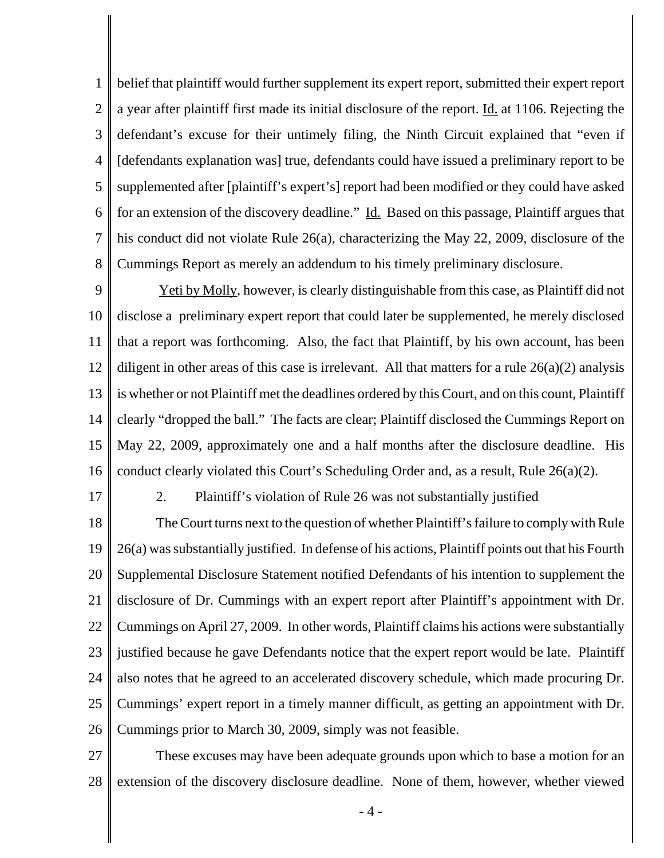1 2 3 4 5 6 7 8 belief that plaintiff would further supplement its expert report, submitted their expert report a year after plaintiff first made its initial disclosure of the report. Id. at 1106. Rejecting the defendant's excuse for their untimely filing, the Ninth Circuit explained that "even if [defendants explanation was] true, defendants could have issued a preliminary report to be supplemented after [plaintiff's expert's] report had been modified or they could have asked for an extension of the discovery deadline." Id.Based on this passage, Plaintiff argues that his conduct did not violate Rule 26(a), characterizing the May 22, 2009, disclosure of the Cummings Report as merely an addendum to his timely preliminary disclosure.

9 10 11 12 13 14 15 16 Yeti by Molly, however, is clearly distinguishable from this case, as Plaintiff did not disclose a preliminary expert report that could later be supplemented, he merely disclosed that a report was forthcoming. Also, the fact that Plaintiff, by his own account, has been diligent in other areas of this case is irrelevant. All that matters for a rule  $26(a)(2)$  analysis is whether or not Plaintiff met the deadlines ordered by this Court, and on this count, Plaintiff clearly "dropped the ball." The facts are clear; Plaintiff disclosed the Cummings Report on May 22, 2009, approximately one and a half months after the disclosure deadline. His conduct clearly violated this Court's Scheduling Order and, as a result, Rule 26(a)(2).

17

2. Plaintiff's violation of Rule 26 was not substantially justified

18 19 20 21 22 23 24 25 26 The Court turns next to the question of whether Plaintiff's failure to comply with Rule 26(a) was substantially justified. In defense of his actions, Plaintiff points out that his Fourth Supplemental Disclosure Statement notified Defendants of his intention to supplement the disclosure of Dr. Cummings with an expert report after Plaintiff's appointment with Dr. Cummings on April 27, 2009. In other words, Plaintiff claims his actions were substantially justified because he gave Defendants notice that the expert report would be late. Plaintiff also notes that he agreed to an accelerated discovery schedule, which made procuring Dr. Cummings' expert report in a timely manner difficult, as getting an appointment with Dr. Cummings prior to March 30, 2009, simply was not feasible.

27 28 These excuses may have been adequate grounds upon which to base a motion for an extension of the discovery disclosure deadline. None of them, however, whether viewed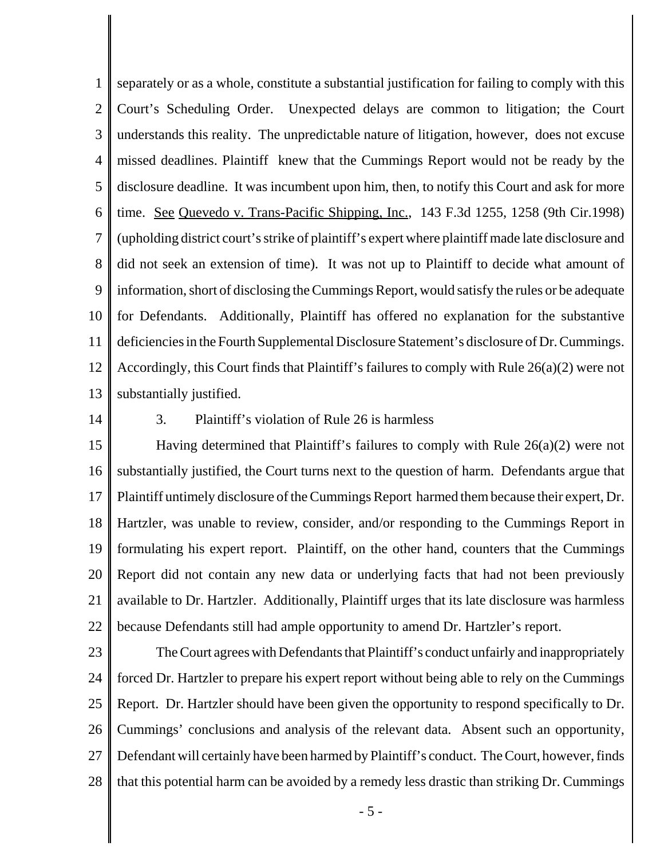1 2 3 4 5 6 7 8 9 10 11 12 13 separately or as a whole, constitute a substantial justification for failing to comply with this Court's Scheduling Order. Unexpected delays are common to litigation; the Court understands this reality. The unpredictable nature of litigation, however, does not excuse missed deadlines. Plaintiff knew that the Cummings Report would not be ready by the disclosure deadline. It was incumbent upon him, then, to notify this Court and ask for more time. See Quevedo v. Trans-Pacific Shipping, Inc., 143 F.3d 1255, 1258 (9th Cir.1998) (upholding district court's strike of plaintiff's expert where plaintiff made late disclosure and did not seek an extension of time). It was not up to Plaintiff to decide what amount of information, short of disclosing the Cummings Report, would satisfy the rules or be adequate for Defendants. Additionally, Plaintiff has offered no explanation for the substantive deficiencies in the Fourth Supplemental Disclosure Statement's disclosure of Dr. Cummings. Accordingly, this Court finds that Plaintiff's failures to comply with Rule 26(a)(2) were not substantially justified.

14

## 3. Plaintiff's violation of Rule 26 is harmless

15 16 17 18 19 20 21 22 Having determined that Plaintiff's failures to comply with Rule 26(a)(2) were not substantially justified, the Court turns next to the question of harm. Defendants argue that Plaintiff untimely disclosure of the Cummings Report harmed them because their expert, Dr. Hartzler, was unable to review, consider, and/or responding to the Cummings Report in formulating his expert report. Plaintiff, on the other hand, counters that the Cummings Report did not contain any new data or underlying facts that had not been previously available to Dr. Hartzler. Additionally, Plaintiff urges that its late disclosure was harmless because Defendants still had ample opportunity to amend Dr. Hartzler's report.

23

24 25 26 27 28 The Court agrees with Defendants that Plaintiff's conduct unfairly and inappropriately forced Dr. Hartzler to prepare his expert report without being able to rely on the Cummings Report. Dr. Hartzler should have been given the opportunity to respond specifically to Dr. Cummings' conclusions and analysis of the relevant data. Absent such an opportunity, Defendant will certainly have been harmed by Plaintiff's conduct. The Court, however, finds that this potential harm can be avoided by a remedy less drastic than striking Dr. Cummings

- 5 -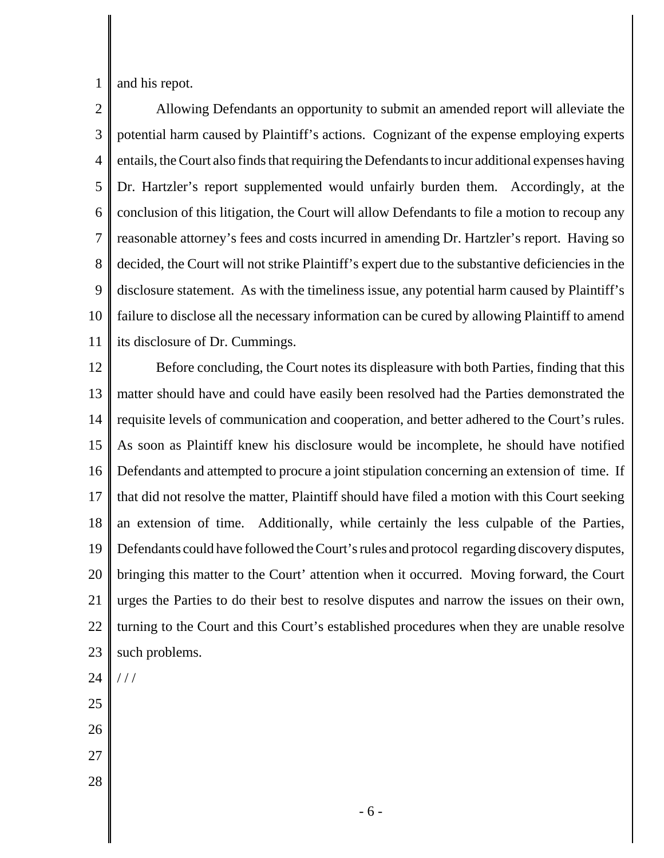1 and his repot.

2 3 4 5 6 7 8 9 10 11 Allowing Defendants an opportunity to submit an amended report will alleviate the potential harm caused by Plaintiff's actions. Cognizant of the expense employing experts entails, the Court also finds that requiring the Defendants to incur additional expenses having Dr. Hartzler's report supplemented would unfairly burden them. Accordingly, at the conclusion of this litigation, the Court will allow Defendants to file a motion to recoup any reasonable attorney's fees and costs incurred in amending Dr. Hartzler's report. Having so decided, the Court will not strike Plaintiff's expert due to the substantive deficiencies in the disclosure statement. As with the timeliness issue, any potential harm caused by Plaintiff's failure to disclose all the necessary information can be cured by allowing Plaintiff to amend its disclosure of Dr. Cummings.

12 13 14 15 16 17 18 19 20 21 22 23 Before concluding, the Court notes its displeasure with both Parties, finding that this matter should have and could have easily been resolved had the Parties demonstrated the requisite levels of communication and cooperation, and better adhered to the Court's rules. As soon as Plaintiff knew his disclosure would be incomplete, he should have notified Defendants and attempted to procure a joint stipulation concerning an extension of time. If that did not resolve the matter, Plaintiff should have filed a motion with this Court seeking an extension of time. Additionally, while certainly the less culpable of the Parties, Defendants could have followed the Court's rules and protocol regarding discovery disputes, bringing this matter to the Court' attention when it occurred. Moving forward, the Court urges the Parties to do their best to resolve disputes and narrow the issues on their own, turning to the Court and this Court's established procedures when they are unable resolve such problems.

24

 $///$ 

- 25
- 26
- 27
- 28